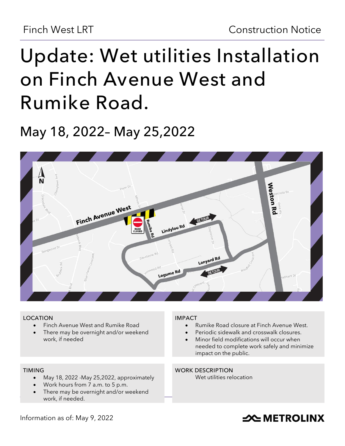# **Update: Wet utilities Installation on Finch Avenue West and Rumike Road.**

## **May 18, 2022– May 25,2022**



#### **LOCATION**

- Finch Avenue West and Rumike Road
- There may be overnight and/or weekend work, if needed

#### **TIMING**

- May 18, 2022 -May 25,2022, approximately
- Work hours from 7 a.m. to 5 p.m.
- There may be overnight and/or weekend work, if needed.

#### **IMPACT**

- Rumike Road closure at Finch Avenue West.
- Periodic sidewalk and crosswalk closures.
- Minor field modifications will occur when needed to complete work safely and minimize impact on the public.

#### **WORK DESCRIPTION**

Wet utilities relocation

#### Information as of: May 9, 2022

### **SOUTHER THE METROLINX**